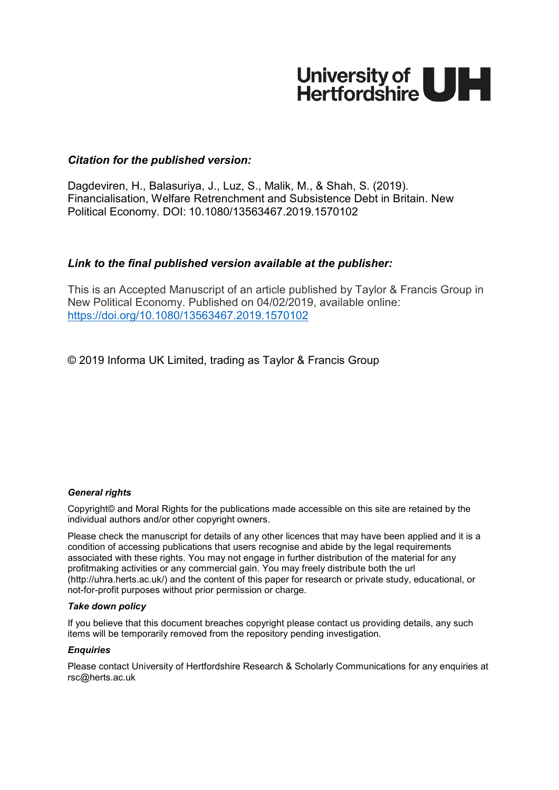# University of **ULLE**<br>Hertfordshire

# *Citation for the published version:*

Dagdeviren, H., Balasuriya, J., Luz, S., Malik, M., & Shah, S. (2019). Financialisation, Welfare Retrenchment and Subsistence Debt in Britain. New Political Economy. DOI: 10.1080/13563467.2019.1570102

# *Link to the final published version available at the publisher:*

This is an Accepted Manuscript of an article published by Taylor & Francis Group in New Political Economy. Published on 04/02/2019, available online: <https://doi.org/10.1080/13563467.2019.1570102>

© 2019 Informa UK Limited, trading as Taylor & Francis Group

## *General rights*

Copyright© and Moral Rights for the publications made accessible on this site are retained by the individual authors and/or other copyright owners.

Please check the manuscript for details of any other licences that may have been applied and it is a condition of accessing publications that users recognise and abide by the legal requirements associated with these rights. You may not engage in further distribution of the material for any profitmaking activities or any commercial gain. You may freely distribute both the url (http://uhra.herts.ac.uk/) and the content of this paper for research or private study, educational, or not-for-profit purposes without prior permission or charge.

## *Take down policy*

If you believe that this document breaches copyright please contact us providing details, any such items will be temporarily removed from the repository pending investigation.

## *Enquiries*

Please contact University of Hertfordshire Research & Scholarly Communications for any enquiries at rsc@herts.ac.uk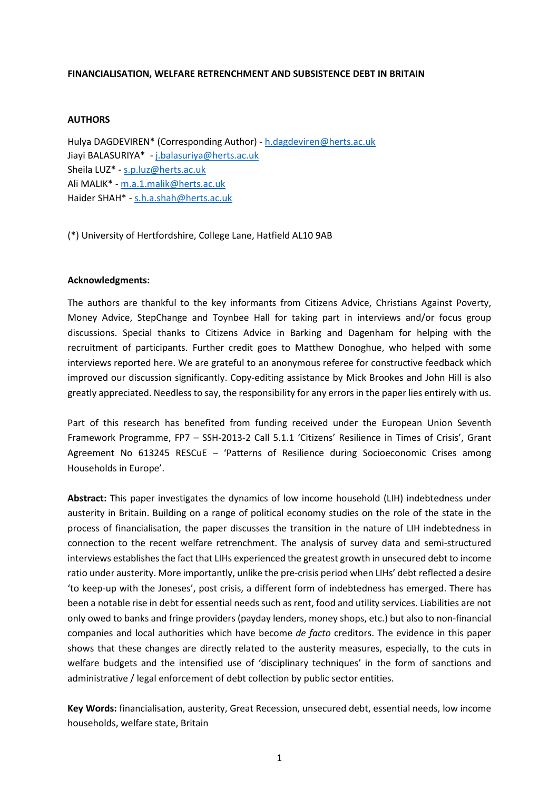#### **FINANCIALISATION, WELFARE RETRENCHMENT AND SUBSISTENCE DEBT IN BRITAIN**

## **AUTHORS**

Hulya DAGDEVIREN\* (Corresponding Author) - [h.dagdeviren@herts.ac.uk](mailto:h.dagdeviren@herts.ac.uk) Jiayi BALASURIYA\* - [j.balasuriya@herts.ac.uk](mailto:j.balasuriya@herts.ac.uk) Sheila LUZ\* - [s.p.luz@herts.ac.uk](mailto:s.p.luz@herts.ac.uk) Ali MALIK\* - [m.a.1.malik@herts.ac.uk](mailto:m.a.1.malik@herts.ac.uk) Haider SHAH\* - [s.h.a.shah@herts.ac.uk](mailto:s.h.a.shah@herts.ac.uk)

(\*) University of Hertfordshire, College Lane, Hatfield AL10 9AB

#### **Acknowledgments:**

The authors are thankful to the key informants from Citizens Advice, Christians Against Poverty, Money Advice, StepChange and Toynbee Hall for taking part in interviews and/or focus group discussions. Special thanks to Citizens Advice in Barking and Dagenham for helping with the recruitment of participants. Further credit goes to Matthew Donoghue, who helped with some interviews reported here. We are grateful to an anonymous referee for constructive feedback which improved our discussion significantly. Copy-editing assistance by Mick Brookes and John Hill is also greatly appreciated. Needless to say, the responsibility for any errors in the paper lies entirely with us.

Part of this research has benefited from funding received under the European Union Seventh Framework Programme, FP7 – SSH-2013-2 Call 5.1.1 'Citizens' Resilience in Times of Crisis', Grant Agreement No 613245 RESCuE – 'Patterns of Resilience during Socioeconomic Crises among Households in Europe'.

**Abstract:** This paper investigates the dynamics of low income household (LIH) indebtedness under austerity in Britain. Building on a range of political economy studies on the role of the state in the process of financialisation, the paper discusses the transition in the nature of LIH indebtedness in connection to the recent welfare retrenchment. The analysis of survey data and semi-structured interviews establishes the fact that LIHs experienced the greatest growth in unsecured debt to income ratio under austerity. More importantly, unlike the pre-crisis period when LIHs' debt reflected a desire 'to keep-up with the Joneses', post crisis, a different form of indebtedness has emerged. There has been a notable rise in debt for essential needs such as rent, food and utility services. Liabilities are not only owed to banks and fringe providers (payday lenders, money shops, etc.) but also to non-financial companies and local authorities which have become *de facto* creditors. The evidence in this paper shows that these changes are directly related to the austerity measures, especially, to the cuts in welfare budgets and the intensified use of 'disciplinary techniques' in the form of sanctions and administrative / legal enforcement of debt collection by public sector entities.

**Key Words:** financialisation, austerity, Great Recession, unsecured debt, essential needs, low income households, welfare state, Britain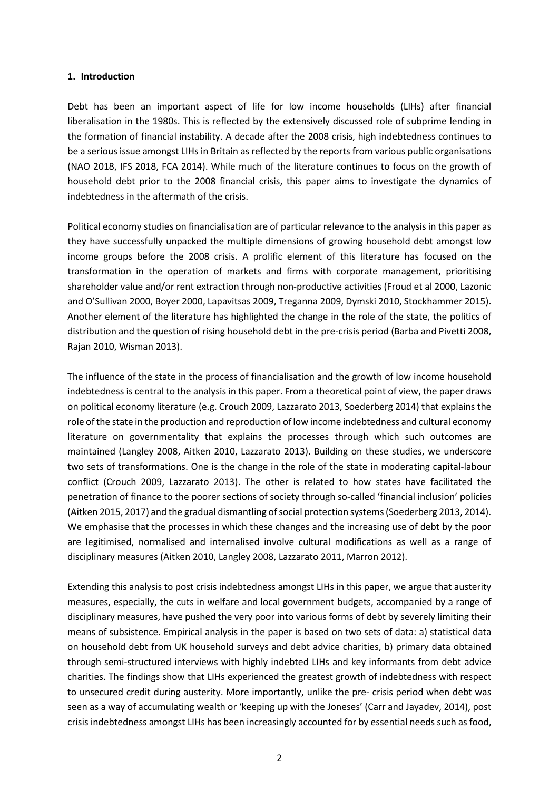#### **1. Introduction**

Debt has been an important aspect of life for low income households (LIHs) after financial liberalisation in the 1980s. This is reflected by the extensively discussed role of subprime lending in the formation of financial instability. A decade after the 2008 crisis, high indebtedness continues to be a serious issue amongst LIHs in Britain as reflected by the reports from various public organisations (NAO 2018, IFS 2018, FCA 2014). While much of the literature continues to focus on the growth of household debt prior to the 2008 financial crisis, this paper aims to investigate the dynamics of indebtedness in the aftermath of the crisis.

Political economy studies on financialisation are of particular relevance to the analysis in this paper as they have successfully unpacked the multiple dimensions of growing household debt amongst low income groups before the 2008 crisis. A prolific element of this literature has focused on the transformation in the operation of markets and firms with corporate management, prioritising shareholder value and/or rent extraction through non-productive activities (Froud et al 2000, Lazonic and O'Sullivan 2000, Boyer 2000, Lapavitsas 2009, Treganna 2009, Dymski 2010, Stockhammer 2015). Another element of the literature has highlighted the change in the role of the state, the politics of distribution and the question of rising household debt in the pre-crisis period (Barba and Pivetti 2008, Rajan 2010, Wisman 2013).

The influence of the state in the process of financialisation and the growth of low income household indebtedness is central to the analysis in this paper. From a theoretical point of view, the paper draws on political economy literature (e.g. Crouch 2009, Lazzarato 2013, Soederberg 2014) that explains the role of the state in the production and reproduction of low income indebtedness and cultural economy literature on governmentality that explains the processes through which such outcomes are maintained (Langley 2008, Aitken 2010, Lazzarato 2013). Building on these studies, we underscore two sets of transformations. One is the change in the role of the state in moderating capital-labour conflict (Crouch 2009, Lazzarato 2013). The other is related to how states have facilitated the penetration of finance to the poorer sections of society through so-called 'financial inclusion' policies (Aitken 2015, 2017) and the gradual dismantling of social protection systems (Soederberg 2013, 2014). We emphasise that the processes in which these changes and the increasing use of debt by the poor are legitimised, normalised and internalised involve cultural modifications as well as a range of disciplinary measures (Aitken 2010, Langley 2008, Lazzarato 2011, Marron 2012).

Extending this analysis to post crisis indebtedness amongst LIHs in this paper, we argue that austerity measures, especially, the cuts in welfare and local government budgets, accompanied by a range of disciplinary measures, have pushed the very poor into various forms of debt by severely limiting their means of subsistence. Empirical analysis in the paper is based on two sets of data: a) statistical data on household debt from UK household surveys and debt advice charities, b) primary data obtained through semi-structured interviews with highly indebted LIHs and key informants from debt advice charities. The findings show that LIHs experienced the greatest growth of indebtedness with respect to unsecured credit during austerity. More importantly, unlike the pre- crisis period when debt was seen as a way of accumulating wealth or 'keeping up with the Joneses' (Carr and Jayadev, 2014), post crisis indebtedness amongst LIHs has been increasingly accounted for by essential needs such as food,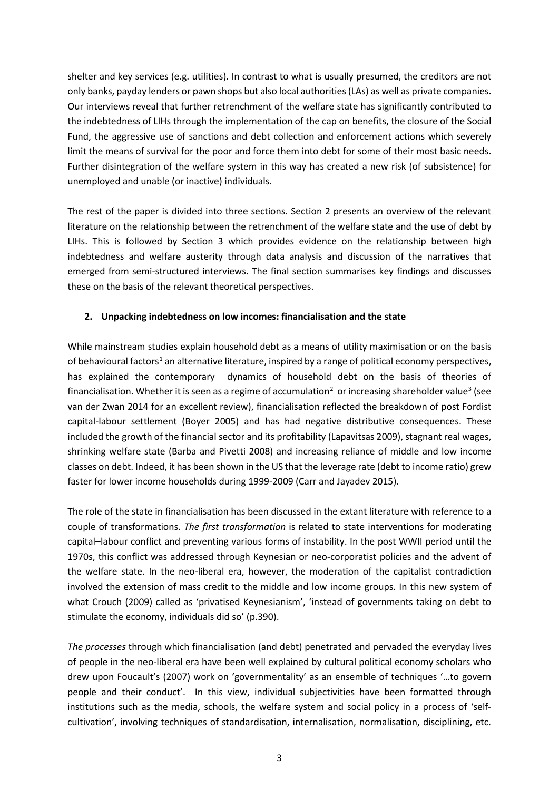shelter and key services (e.g. utilities). In contrast to what is usually presumed, the creditors are not only banks, payday lenders or pawn shops but also local authorities (LAs) as well as private companies. Our interviews reveal that further retrenchment of the welfare state has significantly contributed to the indebtedness of LIHs through the implementation of the cap on benefits, the closure of the Social Fund, the aggressive use of sanctions and debt collection and enforcement actions which severely limit the means of survival for the poor and force them into debt for some of their most basic needs. Further disintegration of the welfare system in this way has created a new risk (of subsistence) for unemployed and unable (or inactive) individuals.

The rest of the paper is divided into three sections. Section 2 presents an overview of the relevant literature on the relationship between the retrenchment of the welfare state and the use of debt by LIHs. This is followed by Section 3 which provides evidence on the relationship between high indebtedness and welfare austerity through data analysis and discussion of the narratives that emerged from semi-structured interviews. The final section summarises key findings and discusses these on the basis of the relevant theoretical perspectives.

## **2. Unpacking indebtedness on low incomes: financialisation and the state**

While mainstream studies explain household debt as a means of utility maximisation or on the basis of behavioural factors<sup>[1](#page-6-0)</sup> an alternative literature, inspired by a range of political economy perspectives, has explained the contemporary dynamics of household debt on the basis of theories of financialisation. Whether it is seen as a regime of accumulation<sup>[2](#page-6-1)</sup> or increasing shareholder value<sup>[3](#page-6-2)</sup> (see van der Zwan 2014 for an excellent review), financialisation reflected the breakdown of post Fordist capital-labour settlement (Boyer 2005) and has had negative distributive consequences. These included the growth of the financial sector and its profitability (Lapavitsas 2009), stagnant real wages, shrinking welfare state (Barba and Pivetti 2008) and increasing reliance of middle and low income classes on debt. Indeed, it has been shown in the US that the leverage rate (debt to income ratio) grew faster for lower income households during 1999-2009 (Carr and Jayadev 2015).

The role of the state in financialisation has been discussed in the extant literature with reference to a couple of transformations. *The first transformation* is related to state interventions for moderating capital–labour conflict and preventing various forms of instability. In the post WWII period until the 1970s, this conflict was addressed through Keynesian or neo-corporatist policies and the advent of the welfare state. In the neo-liberal era, however, the moderation of the capitalist contradiction involved the extension of mass credit to the middle and low income groups. In this new system of what Crouch (2009) called as 'privatised Keynesianism', 'instead of governments taking on debt to stimulate the economy, individuals did so' (p.390).

*The processes* through which financialisation (and debt) penetrated and pervaded the everyday lives of people in the neo-liberal era have been well explained by cultural political economy scholars who drew upon Foucault's (2007) work on 'governmentality' as an ensemble of techniques '…to govern people and their conduct'. In this view, individual subjectivities have been formatted through institutions such as the media, schools, the welfare system and social policy in a process of 'selfcultivation', involving techniques of standardisation, internalisation, normalisation, disciplining, etc.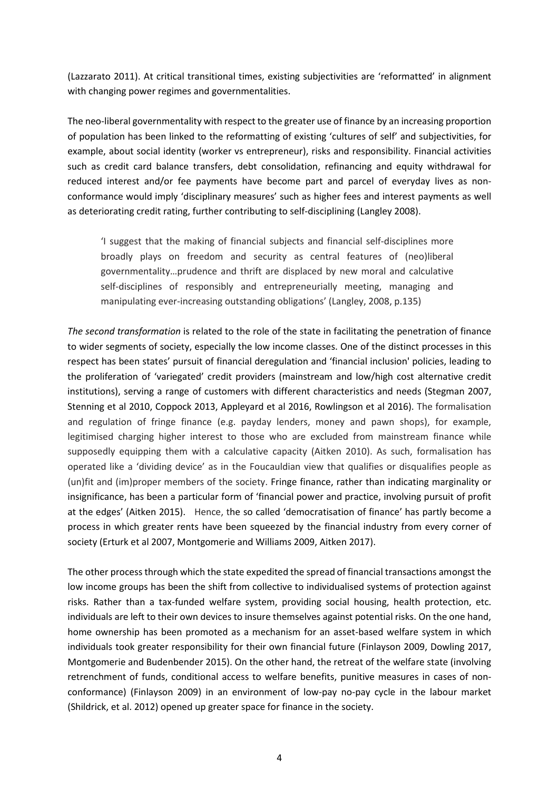(Lazzarato 2011). At critical transitional times, existing subjectivities are 'reformatted' in alignment with changing power regimes and governmentalities.

The neo-liberal governmentality with respect to the greater use of finance by an increasing proportion of population has been linked to the reformatting of existing 'cultures of self' and subjectivities, for example, about social identity (worker vs entrepreneur), risks and responsibility. Financial activities such as credit card balance transfers, debt consolidation, refinancing and equity withdrawal for reduced interest and/or fee payments have become part and parcel of everyday lives as nonconformance would imply 'disciplinary measures' such as higher fees and interest payments as well as deteriorating credit rating, further contributing to self-disciplining (Langley 2008).

'I suggest that the making of financial subjects and financial self-disciplines more broadly plays on freedom and security as central features of (neo)liberal governmentality…prudence and thrift are displaced by new moral and calculative self-disciplines of responsibly and entrepreneurially meeting, managing and manipulating ever-increasing outstanding obligations' (Langley, 2008, p.135)

*The second transformation* is related to the role of the state in facilitating the penetration of finance to wider segments of society, especially the low income classes. One of the distinct processes in this respect has been states' pursuit of financial deregulation and 'financial inclusion' policies, leading to the proliferation of 'variegated' credit providers (mainstream and low/high cost alternative credit institutions), serving a range of customers with different characteristics and needs (Stegman 2007, Stenning et al 2010, Coppock 2013, Appleyard et al 2016, Rowlingson et al 2016). The formalisation and regulation of fringe finance (e.g. payday lenders, money and pawn shops), for example, legitimised charging higher interest to those who are excluded from mainstream finance while supposedly equipping them with a calculative capacity (Aitken 2010). As such, formalisation has operated like a 'dividing device' as in the Foucauldian view that qualifies or disqualifies people as (un)fit and (im)proper members of the society. Fringe finance, rather than indicating marginality or insignificance, has been a particular form of 'financial power and practice, involving pursuit of profit at the edges' (Aitken 2015). Hence, the so called 'democratisation of finance' has partly become a process in which greater rents have been squeezed by the financial industry from every corner of society (Erturk et al 2007, Montgomerie and Williams 2009, Aitken 2017).

The other process through which the state expedited the spread of financial transactions amongst the low income groups has been the shift from collective to individualised systems of protection against risks. Rather than a tax-funded welfare system, providing social housing, health protection, etc. individuals are left to their own devices to insure themselves against potential risks. On the one hand, home ownership has been promoted as a mechanism for an asset-based welfare system in which individuals took greater responsibility for their own financial future (Finlayson 2009, Dowling 2017, Montgomerie and Budenbender 2015). On the other hand, the retreat of the welfare state (involving retrenchment of funds, conditional access to welfare benefits, punitive measures in cases of nonconformance) (Finlayson 2009) in an environment of low-pay no-pay cycle in the labour market (Shildrick, et al. 2012) opened up greater space for finance in the society.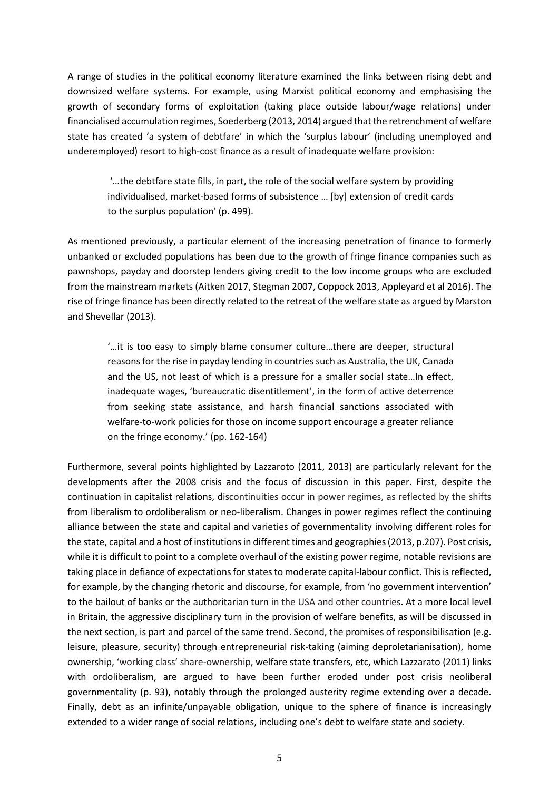A range of studies in the political economy literature examined the links between rising debt and downsized welfare systems. For example, using Marxist political economy and emphasising the growth of secondary forms of exploitation (taking place outside labour/wage relations) under financialised accumulation regimes, Soederberg (2013, 2014) argued that the retrenchment of welfare state has created 'a system of debtfare' in which the 'surplus labour' (including unemployed and underemployed) resort to high-cost finance as a result of inadequate welfare provision:

'…the debtfare state fills, in part, the role of the social welfare system by providing individualised, market-based forms of subsistence … [by] extension of credit cards to the surplus population' (p. 499).

As mentioned previously, a particular element of the increasing penetration of finance to formerly unbanked or excluded populations has been due to the growth of fringe finance companies such as pawnshops, payday and doorstep lenders giving credit to the low income groups who are excluded from the mainstream markets (Aitken 2017, Stegman 2007, Coppock 2013, Appleyard et al 2016). The rise of fringe finance has been directly related to the retreat of the welfare state as argued by Marston and Shevellar (2013).

'…it is too easy to simply blame consumer culture…there are deeper, structural reasons for the rise in payday lending in countries such as Australia, the UK, Canada and the US, not least of which is a pressure for a smaller social state…In effect, inadequate wages, 'bureaucratic disentitlement', in the form of active deterrence from seeking state assistance, and harsh financial sanctions associated with welfare-to-work policies for those on income support encourage a greater reliance on the fringe economy.' (pp. 162-164)

Furthermore, several points highlighted by Lazzaroto (2011, 2013) are particularly relevant for the developments after the 2008 crisis and the focus of discussion in this paper. First, despite the continuation in capitalist relations, discontinuities occur in power regimes, as reflected by the shifts from liberalism to ordoliberalism or neo-liberalism. Changes in power regimes reflect the continuing alliance between the state and capital and varieties of governmentality involving different roles for the state, capital and a host of institutions in different times and geographies(2013, p.207). Post crisis, while it is difficult to point to a complete overhaul of the existing power regime, notable revisions are taking place in defiance of expectations for states to moderate capital-labour conflict. This is reflected, for example, by the changing rhetoric and discourse, for example, from 'no government intervention' to the bailout of banks or the authoritarian turn in the USA and other countries. At a more local level in Britain, the aggressive disciplinary turn in the provision of welfare benefits, as will be discussed in the next section, is part and parcel of the same trend. Second, the promises of responsibilisation (e.g. leisure, pleasure, security) through entrepreneurial risk-taking (aiming deproletarianisation), home ownership, 'working class' share-ownership, welfare state transfers, etc, which Lazzarato (2011) links with ordoliberalism, are argued to have been further eroded under post crisis neoliberal governmentality (p. 93), notably through the prolonged austerity regime extending over a decade. Finally, debt as an infinite/unpayable obligation, unique to the sphere of finance is increasingly extended to a wider range of social relations, including one's debt to welfare state and society.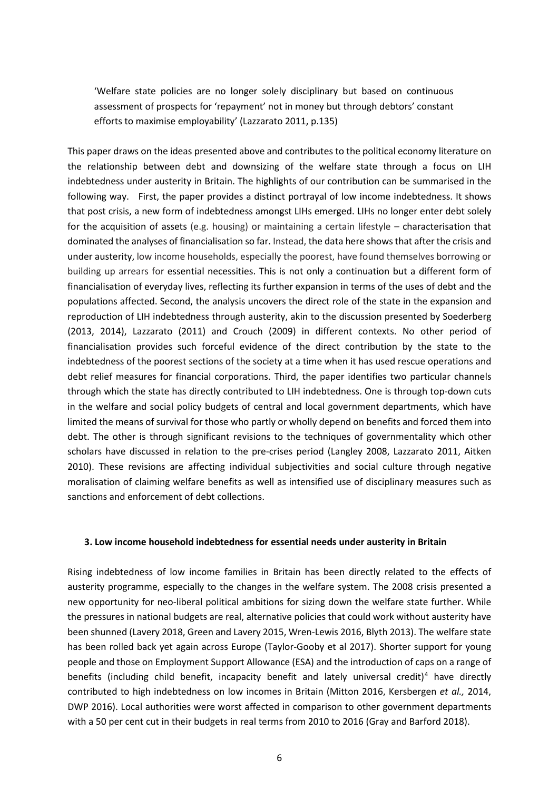'Welfare state policies are no longer solely disciplinary but based on continuous assessment of prospects for 'repayment' not in money but through debtors' constant efforts to maximise employability' (Lazzarato 2011, p.135)

<span id="page-6-7"></span><span id="page-6-6"></span><span id="page-6-5"></span><span id="page-6-4"></span><span id="page-6-3"></span><span id="page-6-2"></span><span id="page-6-1"></span><span id="page-6-0"></span>This paper draws on the ideas presented above and contributes to the political economy literature on the relationship between debt and downsizing of the welfare state through a focus on LIH indebtedness under austerity in Britain. The highlights of our contribution can be summarised in the following way. First, the paper provides a distinct portrayal of low income indebtedness. It shows that post crisis, a new form of indebtedness amongst LIHs emerged. LIHs no longer enter debt solely for the acquisition of assets (e.g. housing) or maintaining a certain lifestyle – characterisation that dominated the analyses of financialisation so far. Instead, the data here shows that after the crisis and under austerity, low income households, especially the poorest, have found themselves borrowing or building up arrears for essential necessities. This is not only a continuation but a different form of financialisation of everyday lives, reflecting its further expansion in terms of the uses of debt and the populations affected. Second, the analysis uncovers the direct role of the state in the expansion and reproduction of LIH indebtedness through austerity, akin to the discussion presented by Soederberg (2013, 2014), Lazzarato (2011) and Crouch (2009) in different contexts. No other period of financialisation provides such forceful evidence of the direct contribution by the state to the indebtedness of the poorest sections of the society at a time when it has used rescue operations and debt relief measures for financial corporations. Third, the paper identifies two particular channels through which the state has directly contributed to LIH indebtedness. One is through top-down cuts in the welfare and social policy budgets of central and local government departments, which have limited the means of survival for those who partly or wholly depend on benefits and forced them into debt. The other is through significant revisions to the techniques of governmentality which other scholars have discussed in relation to the pre-crises period (Langley 2008, Lazzarato 2011, Aitken 2010). These revisions are affecting individual subjectivities and social culture through negative moralisation of claiming welfare benefits as well as intensified use of disciplinary measures such as sanctions and enforcement of debt collections.

#### **3. Low income household indebtedness for essential needs under austerity in Britain**

Rising indebtedness of low income families in Britain has been directly related to the effects of austerity programme, especially to the changes in the welfare system. The 2008 crisis presented a new opportunity for neo-liberal political ambitions for sizing down the welfare state further. While the pressures in national budgets are real, alternative policies that could work without austerity have been shunned (Lavery 2018, Green and Lavery 2015, Wren-Lewis 2016, Blyth 2013). The welfare state has been rolled back yet again across Europe (Taylor-Gooby et al 2017). Shorter support for young people and those on Employment Support Allowance (ESA) and the introduction of caps on a range of benefits (including child benefit, incapacity benefit and lately universal credit)<sup>[4](#page-6-3)</sup> have directly contributed to high indebtedness on low incomes in Britain (Mitton 2016, Kersbergen *et al.,* 2014, DWP 2016). Local authorities were worst affected in comparison to other government departments with a 50 per cent cut in their budgets in real terms from 2010 to 2016 (Gray and Barford 2018).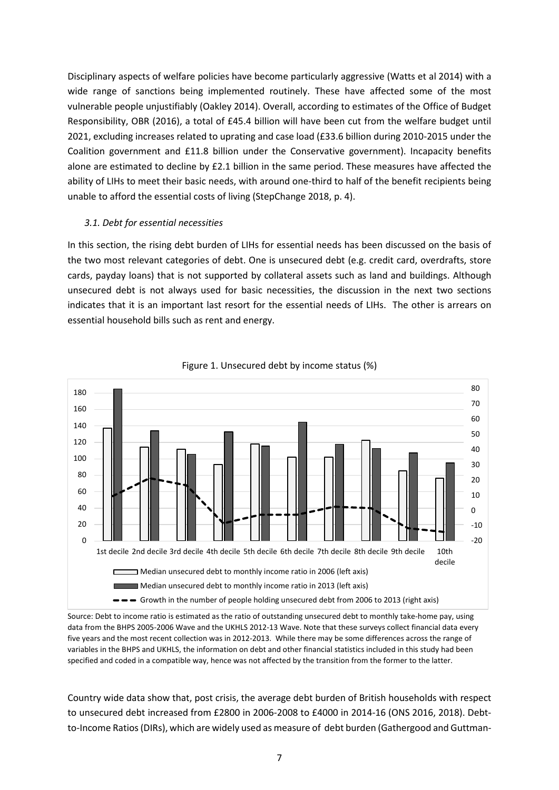Disciplinary aspects of welfare policies have become particularly aggressive (Watts et al 2014) with a wide range of sanctions being implemented routinely. These have affected some of the most vulnerable people unjustifiably (Oakley 2014). Overall, according to estimates of the Office of Budget Responsibility, OBR (2016), a total of £45.4 billion will have been cut from the welfare budget until 2021, excluding increases related to uprating and case load (£33.6 billion during 2010-2015 under the Coalition government and £11.8 billion under the Conservative government). Incapacity benefits alone are estimated to decline by £2.1 billion in the same period. These measures have affected the ability of LIHs to meet their basic needs, with around one-third to half of the benefit recipients being unable to afford the essential costs of living (StepChange 2018, p. 4).

## *3.1. Debt for essential necessities*

In this section, the rising debt burden of LIHs for essential needs has been discussed on the basis of the two most relevant categories of debt. One is unsecured debt (e.g. credit card, overdrafts, store cards, payday loans) that is not supported by collateral assets such as land and buildings. Although unsecured debt is not always used for basic necessities, the discussion in the next two sections indicates that it is an important last resort for the essential needs of LIHs. The other is arrears on essential household bills such as rent and energy.





Source: Debt to income ratio is estimated as the ratio of outstanding unsecured debt to monthly take-home pay, using data from the BHPS 2005-2006 Wave and the UKHLS 2012-13 Wave. Note that these surveys collect financial data every five years and the most recent collection was in 2012-2013. While there may be some differences across the range of variables in the BHPS and UKHLS, the information on debt and other financial statistics included in this study had been specified and coded in a compatible way, hence was not affected by the transition from the former to the latter.

Country wide data show that, post crisis, the average debt burden of British households with respect to unsecured debt increased from £2800 in 2006-2008 to £4000 in 2014-16 (ONS 2016, 2018). Debtto-Income Ratios (DIRs), which are widely used as measure of debt burden (Gathergood and Guttman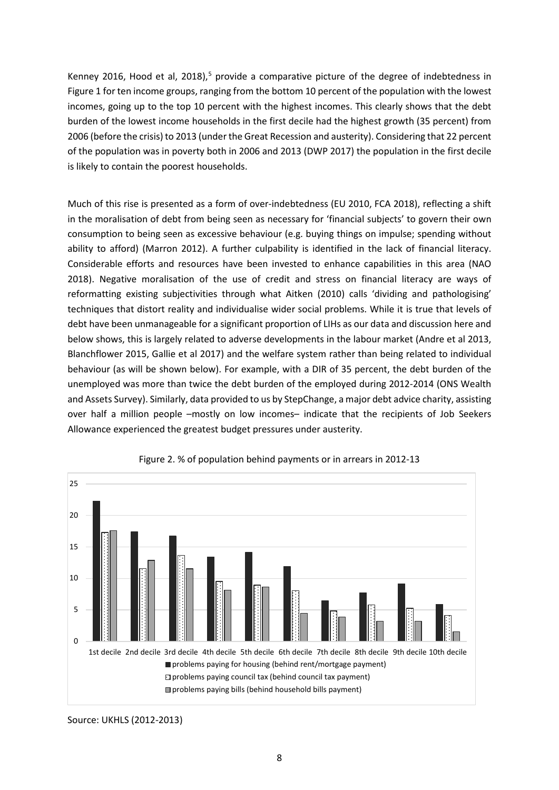Kenney 2016, Hood et al,  $2018$ ),<sup>[5](#page-6-4)</sup> provide a comparative picture of the degree of indebtedness in Figure 1 for ten income groups, ranging from the bottom 10 percent of the population with the lowest incomes, going up to the top 10 percent with the highest incomes. This clearly shows that the debt burden of the lowest income households in the first decile had the highest growth (35 percent) from 2006 (before the crisis) to 2013 (under the Great Recession and austerity). Considering that 22 percent of the population was in poverty both in 2006 and 2013 (DWP 2017) the population in the first decile is likely to contain the poorest households.

Much of this rise is presented as a form of over-indebtedness (EU 2010, FCA 2018), reflecting a shift in the moralisation of debt from being seen as necessary for 'financial subjects' to govern their own consumption to being seen as excessive behaviour (e.g. buying things on impulse; spending without ability to afford) (Marron 2012). A further culpability is identified in the lack of financial literacy. Considerable efforts and resources have been invested to enhance capabilities in this area (NAO 2018). Negative moralisation of the use of credit and stress on financial literacy are ways of reformatting existing subjectivities through what Aitken (2010) calls 'dividing and pathologising' techniques that distort reality and individualise wider social problems. While it is true that levels of debt have been unmanageable for a significant proportion of LIHs as our data and discussion here and below shows, this is largely related to adverse developments in the labour market (Andre et al 2013, Blanchflower 2015, Gallie et al 2017) and the welfare system rather than being related to individual behaviour (as will be shown below). For example, with a DIR of 35 percent, the debt burden of the unemployed was more than twice the debt burden of the employed during 2012-2014 (ONS Wealth and Assets Survey). Similarly, data provided to us by StepChange, a major debt advice charity, assisting over half a million people –mostly on low incomes– indicate that the recipients of Job Seekers Allowance experienced the greatest budget pressures under austerity.





Source: UKHLS (2012-2013)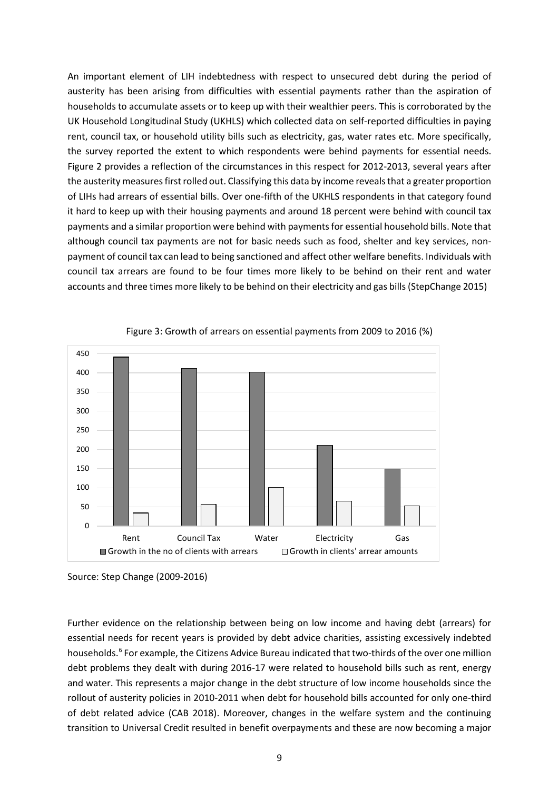An important element of LIH indebtedness with respect to unsecured debt during the period of austerity has been arising from difficulties with essential payments rather than the aspiration of households to accumulate assets or to keep up with their wealthier peers. This is corroborated by the UK Household Longitudinal Study (UKHLS) which collected data on self-reported difficulties in paying rent, council tax, or household utility bills such as electricity, gas, water rates etc. More specifically, the survey reported the extent to which respondents were behind payments for essential needs. Figure 2 provides a reflection of the circumstances in this respect for 2012-2013, several years after the austerity measures first rolled out. Classifying this data by income reveals that a greater proportion of LIHs had arrears of essential bills. Over one-fifth of the UKHLS respondents in that category found it hard to keep up with their housing payments and around 18 percent were behind with council tax payments and a similar proportion were behind with payments for essential household bills. Note that although council tax payments are not for basic needs such as food, shelter and key services, nonpayment of council tax can lead to being sanctioned and affect other welfare benefits. Individuals with council tax arrears are found to be four times more likely to be behind on their rent and water accounts and three times more likely to be behind on their electricity and gas bills (StepChange 2015)



Figure 3: Growth of arrears on essential payments from 2009 to 2016 (%)

Further evidence on the relationship between being on low income and having debt (arrears) for essential needs for recent years is provided by debt advice charities, assisting excessively indebted households.<sup>[6](#page-6-5)</sup> For example, the Citizens Advice Bureau indicated that two-thirds of the over one million debt problems they dealt with during 2016-17 were related to household bills such as rent, energy and water. This represents a major change in the debt structure of low income households since the rollout of austerity policies in 2010-2011 when debt for household bills accounted for only one-third of debt related advice (CAB 2018). Moreover, changes in the welfare system and the continuing transition to Universal Credit resulted in benefit overpayments and these are now becoming a major

Source: Step Change (2009-2016)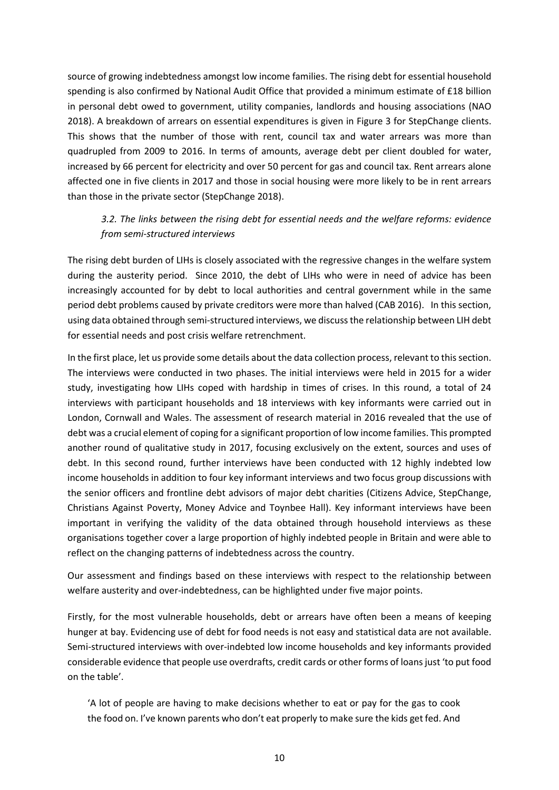source of growing indebtedness amongst low income families. The rising debt for essential household spending is also confirmed by National Audit Office that provided a minimum estimate of £18 billion in personal debt owed to government, utility companies, landlords and housing associations (NAO 2018). A breakdown of arrears on essential expenditures is given in Figure 3 for StepChange clients. This shows that the number of those with rent, council tax and water arrears was more than quadrupled from 2009 to 2016. In terms of amounts, average debt per client doubled for water, increased by 66 percent for electricity and over 50 percent for gas and council tax. Rent arrears alone affected one in five clients in 2017 and those in social housing were more likely to be in rent arrears than those in the private sector (StepChange 2018).

# *3.2. The links between the rising debt for essential needs and the welfare reforms: evidence from* s*emi-structured interviews*

The rising debt burden of LIHs is closely associated with the regressive changes in the welfare system during the austerity period. Since 2010, the debt of LIHs who were in need of advice has been increasingly accounted for by debt to local authorities and central government while in the same period debt problems caused by private creditors were more than halved (CAB 2016). In this section, using data obtained through semi-structured interviews, we discuss the relationship between LIH debt for essential needs and post crisis welfare retrenchment.

In the first place, let us provide some details about the data collection process, relevant to this section. The interviews were conducted in two phases. The initial interviews were held in 2015 for a wider study, investigating how LIHs coped with hardship in times of crises. In this round, a total of 24 interviews with participant households and 18 interviews with key informants were carried out in London, Cornwall and Wales. The assessment of research material in 2016 revealed that the use of debt was a crucial element of coping for a significant proportion of low income families. This prompted another round of qualitative study in 2017, focusing exclusively on the extent, sources and uses of debt. In this second round, further interviews have been conducted with 12 highly indebted low income households in addition to four key informant interviews and two focus group discussions with the senior officers and frontline debt advisors of major debt charities (Citizens Advice, StepChange, Christians Against Poverty, Money Advice and Toynbee Hall). Key informant interviews have been important in verifying the validity of the data obtained through household interviews as these organisations together cover a large proportion of highly indebted people in Britain and were able to reflect on the changing patterns of indebtedness across the country.

Our assessment and findings based on these interviews with respect to the relationship between welfare austerity and over-indebtedness, can be highlighted under five major points.

Firstly, for the most vulnerable households, debt or arrears have often been a means of keeping hunger at bay. Evidencing use of debt for food needs is not easy and statistical data are not available. Semi-structured interviews with over-indebted low income households and key informants provided considerable evidence that people use overdrafts, credit cards or other forms of loans just 'to put food on the table'.

'A lot of people are having to make decisions whether to eat or pay for the gas to cook the food on. I've known parents who don't eat properly to make sure the kids get fed. And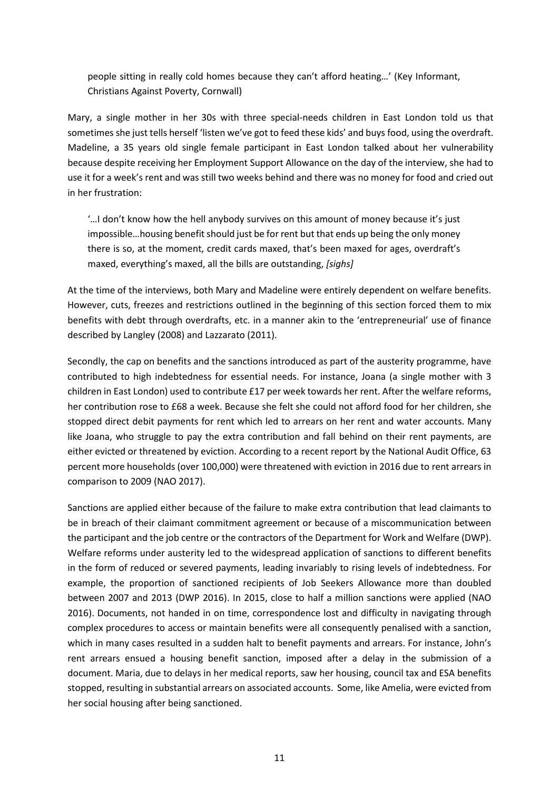people sitting in really cold homes because they can't afford heating…' (Key Informant, Christians Against Poverty, Cornwall)

Mary, a single mother in her 30s with three special-needs children in East London told us that sometimes she just tells herself 'listen we've got to feed these kids' and buys food, using the overdraft. Madeline, a 35 years old single female participant in East London talked about her vulnerability because despite receiving her Employment Support Allowance on the day of the interview, she had to use it for a week's rent and was still two weeks behind and there was no money for food and cried out in her frustration:

'…I don't know how the hell anybody survives on this amount of money because it's just impossible…housing benefit should just be for rent but that ends up being the only money there is so, at the moment, credit cards maxed, that's been maxed for ages, overdraft's maxed, everything's maxed, all the bills are outstanding, *[sighs]*

At the time of the interviews, both Mary and Madeline were entirely dependent on welfare benefits. However, cuts, freezes and restrictions outlined in the beginning of this section forced them to mix benefits with debt through overdrafts, etc. in a manner akin to the 'entrepreneurial' use of finance described by Langley (2008) and Lazzarato (2011).

Secondly, the cap on benefits and the sanctions introduced as part of the austerity programme, have contributed to high indebtedness for essential needs. For instance, Joana (a single mother with 3 children in East London) used to contribute £17 per week towards her rent. After the welfare reforms, her contribution rose to £68 a week. Because she felt she could not afford food for her children, she stopped direct debit payments for rent which led to arrears on her rent and water accounts. Many like Joana, who struggle to pay the extra contribution and fall behind on their rent payments, are either evicted or threatened by eviction. According to a recent report by the National Audit Office, 63 percent more households (over 100,000) were threatened with eviction in 2016 due to rent arrears in comparison to 2009 (NAO 2017).

Sanctions are applied either because of the failure to make extra contribution that lead claimants to be in breach of their claimant commitment agreement or because of a miscommunication between the participant and the job centre or the contractors of the Department for Work and Welfare (DWP). Welfare reforms under austerity led to the widespread application of sanctions to different benefits in the form of reduced or severed payments, leading invariably to rising levels of indebtedness. For example, the proportion of sanctioned recipients of Job Seekers Allowance more than doubled between 2007 and 2013 (DWP 2016). In 2015, close to half a million sanctions were applied (NAO 2016). Documents, not handed in on time, correspondence lost and difficulty in navigating through complex procedures to access or maintain benefits were all consequently penalised with a sanction, which in many cases resulted in a sudden halt to benefit payments and arrears. For instance, John's rent arrears ensued a housing benefit sanction, imposed after a delay in the submission of a document. Maria, due to delays in her medical reports, saw her housing, council tax and ESA benefits stopped, resulting in substantial arrears on associated accounts. Some, like Amelia, were evicted from her social housing after being sanctioned.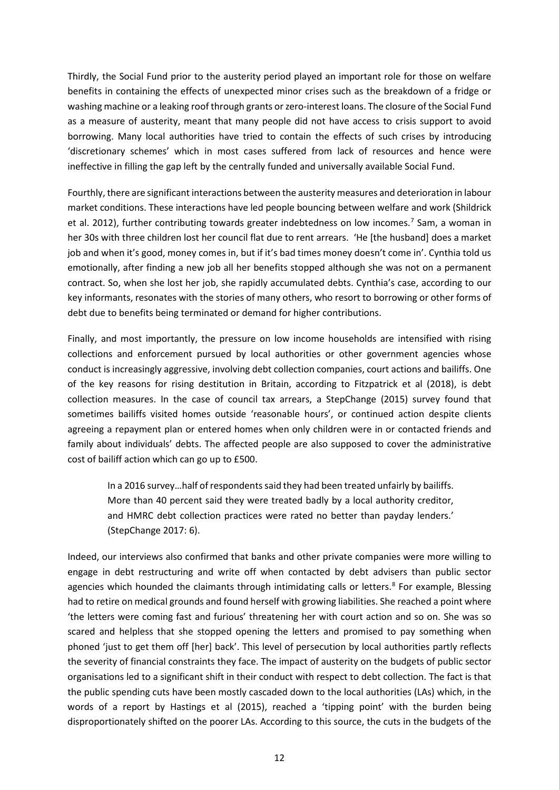Thirdly, the Social Fund prior to the austerity period played an important role for those on welfare benefits in containing the effects of unexpected minor crises such as the breakdown of a fridge or washing machine or a leaking roof through grants or zero-interest loans. The closure of the Social Fund as a measure of austerity, meant that many people did not have access to crisis support to avoid borrowing. Many local authorities have tried to contain the effects of such crises by introducing 'discretionary schemes' which in most cases suffered from lack of resources and hence were ineffective in filling the gap left by the centrally funded and universally available Social Fund.

Fourthly, there are significant interactions between the austerity measures and deterioration in labour market conditions. These interactions have led people bouncing between welfare and work (Shildrick et al. 2012), further contributing towards greater indebtedness on low incomes.<sup>[7](#page-6-6)</sup> Sam, a woman in her 30s with three children lost her council flat due to rent arrears. 'He [the husband] does a market job and when it's good, money comes in, but if it's bad times money doesn't come in'. Cynthia told us emotionally, after finding a new job all her benefits stopped although she was not on a permanent contract. So, when she lost her job, she rapidly accumulated debts. Cynthia's case, according to our key informants, resonates with the stories of many others, who resort to borrowing or other forms of debt due to benefits being terminated or demand for higher contributions.

Finally, and most importantly, the pressure on low income households are intensified with rising collections and enforcement pursued by local authorities or other government agencies whose conduct is increasingly aggressive, involving debt collection companies, court actions and bailiffs. One of the key reasons for rising destitution in Britain, according to Fitzpatrick et al (2018), is debt collection measures. In the case of council tax arrears, a StepChange (2015) survey found that sometimes bailiffs visited homes outside 'reasonable hours', or continued action despite clients agreeing a repayment plan or entered homes when only children were in or contacted friends and family about individuals' debts. The affected people are also supposed to cover the administrative cost of bailiff action which can go up to £500.

In a 2016 survey…half of respondents said they had been treated unfairly by bailiffs. More than 40 percent said they were treated badly by a local authority creditor, and HMRC debt collection practices were rated no better than payday lenders.' (StepChange 2017: 6).

Indeed, our interviews also confirmed that banks and other private companies were more willing to engage in debt restructuring and write off when contacted by debt advisers than public sector agencies which hounded the claimants through intimidating calls or letters.<sup>[8](#page-6-7)</sup> For example, Blessing had to retire on medical grounds and found herself with growing liabilities. She reached a point where 'the letters were coming fast and furious' threatening her with court action and so on. She was so scared and helpless that she stopped opening the letters and promised to pay something when phoned 'just to get them off [her] back'. This level of persecution by local authorities partly reflects the severity of financial constraints they face. The impact of austerity on the budgets of public sector organisations led to a significant shift in their conduct with respect to debt collection. The fact is that the public spending cuts have been mostly cascaded down to the local authorities (LAs) which, in the words of a report by Hastings et al (2015), reached a 'tipping point' with the burden being disproportionately shifted on the poorer LAs. According to this source, the cuts in the budgets of the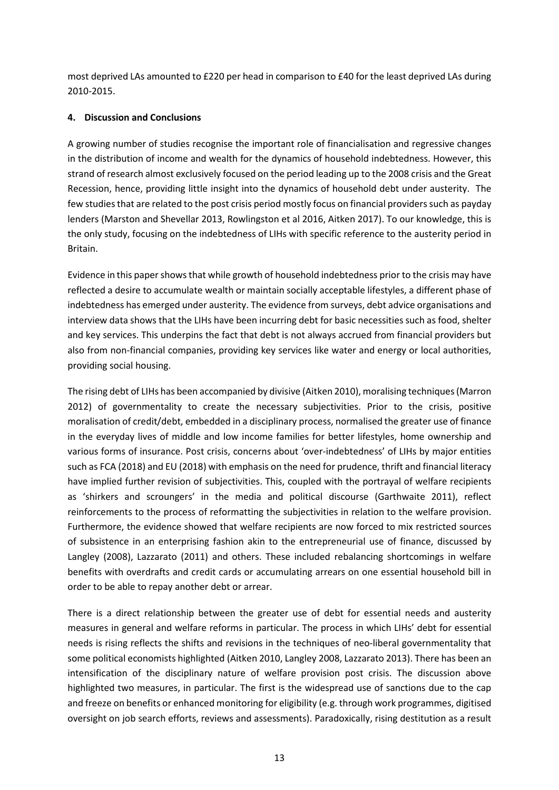most deprived LAs amounted to £220 per head in comparison to £40 for the least deprived LAs during 2010-2015.

## **4. Discussion and Conclusions**

A growing number of studies recognise the important role of financialisation and regressive changes in the distribution of income and wealth for the dynamics of household indebtedness. However, this strand of research almost exclusively focused on the period leading up to the 2008 crisis and the Great Recession, hence, providing little insight into the dynamics of household debt under austerity. The few studies that are related to the post crisis period mostly focus on financial providers such as payday lenders (Marston and Shevellar 2013, Rowlingston et al 2016, Aitken 2017). To our knowledge, this is the only study, focusing on the indebtedness of LIHs with specific reference to the austerity period in Britain.

Evidence in this paper shows that while growth of household indebtedness prior to the crisis may have reflected a desire to accumulate wealth or maintain socially acceptable lifestyles, a different phase of indebtedness has emerged under austerity. The evidence from surveys, debt advice organisations and interview data shows that the LIHs have been incurring debt for basic necessities such as food, shelter and key services. This underpins the fact that debt is not always accrued from financial providers but also from non-financial companies, providing key services like water and energy or local authorities, providing social housing.

The rising debt of LIHs has been accompanied by divisive (Aitken 2010), moralising techniques (Marron 2012) of governmentality to create the necessary subjectivities. Prior to the crisis, positive moralisation of credit/debt, embedded in a disciplinary process, normalised the greater use of finance in the everyday lives of middle and low income families for better lifestyles, home ownership and various forms of insurance. Post crisis, concerns about 'over-indebtedness' of LIHs by major entities such as FCA (2018) and EU (2018) with emphasis on the need for prudence, thrift and financial literacy have implied further revision of subjectivities. This, coupled with the portrayal of welfare recipients as 'shirkers and scroungers' in the media and political discourse (Garthwaite 2011), reflect reinforcements to the process of reformatting the subjectivities in relation to the welfare provision. Furthermore, the evidence showed that welfare recipients are now forced to mix restricted sources of subsistence in an enterprising fashion akin to the entrepreneurial use of finance, discussed by Langley (2008), Lazzarato (2011) and others. These included rebalancing shortcomings in welfare benefits with overdrafts and credit cards or accumulating arrears on one essential household bill in order to be able to repay another debt or arrear.

There is a direct relationship between the greater use of debt for essential needs and austerity measures in general and welfare reforms in particular. The process in which LIHs' debt for essential needs is rising reflects the shifts and revisions in the techniques of neo-liberal governmentality that some political economists highlighted (Aitken 2010, Langley 2008, Lazzarato 2013). There has been an intensification of the disciplinary nature of welfare provision post crisis. The discussion above highlighted two measures, in particular. The first is the widespread use of sanctions due to the cap and freeze on benefits or enhanced monitoring for eligibility (e.g. through work programmes, digitised oversight on job search efforts, reviews and assessments). Paradoxically, rising destitution as a result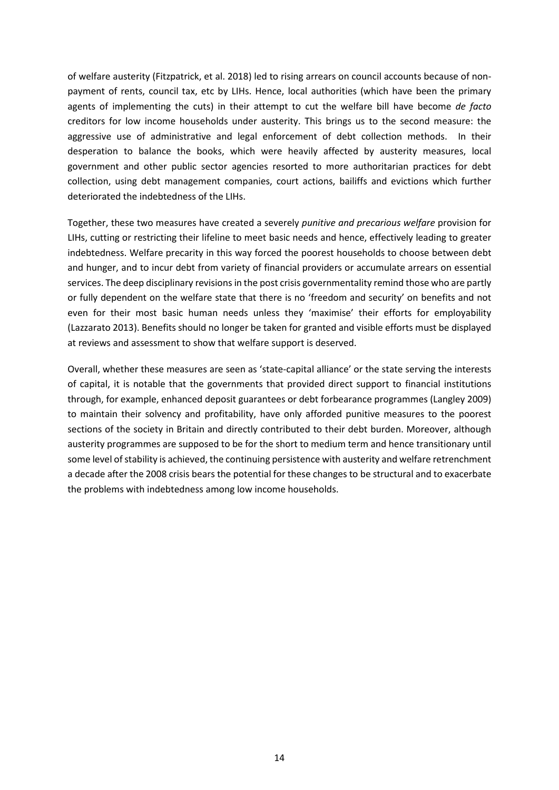of welfare austerity (Fitzpatrick, et al. 2018) led to rising arrears on council accounts because of nonpayment of rents, council tax, etc by LIHs. Hence, local authorities (which have been the primary agents of implementing the cuts) in their attempt to cut the welfare bill have become *de facto* creditors for low income households under austerity. This brings us to the second measure: the aggressive use of administrative and legal enforcement of debt collection methods. In their desperation to balance the books, which were heavily affected by austerity measures, local government and other public sector agencies resorted to more authoritarian practices for debt collection, using debt management companies, court actions, bailiffs and evictions which further deteriorated the indebtedness of the LIHs.

Together, these two measures have created a severely *punitive and precarious welfare* provision for LIHs, cutting or restricting their lifeline to meet basic needs and hence, effectively leading to greater indebtedness. Welfare precarity in this way forced the poorest households to choose between debt and hunger, and to incur debt from variety of financial providers or accumulate arrears on essential services. The deep disciplinary revisions in the post crisis governmentality remind those who are partly or fully dependent on the welfare state that there is no 'freedom and security' on benefits and not even for their most basic human needs unless they 'maximise' their efforts for employability (Lazzarato 2013). Benefits should no longer be taken for granted and visible efforts must be displayed at reviews and assessment to show that welfare support is deserved.

Overall, whether these measures are seen as 'state-capital alliance' or the state serving the interests of capital, it is notable that the governments that provided direct support to financial institutions through, for example, enhanced deposit guarantees or debt forbearance programmes (Langley 2009) to maintain their solvency and profitability, have only afforded punitive measures to the poorest sections of the society in Britain and directly contributed to their debt burden. Moreover, although austerity programmes are supposed to be for the short to medium term and hence transitionary until some level of stability is achieved, the continuing persistence with austerity and welfare retrenchment a decade after the 2008 crisis bears the potential for these changes to be structural and to exacerbate the problems with indebtedness among low income households.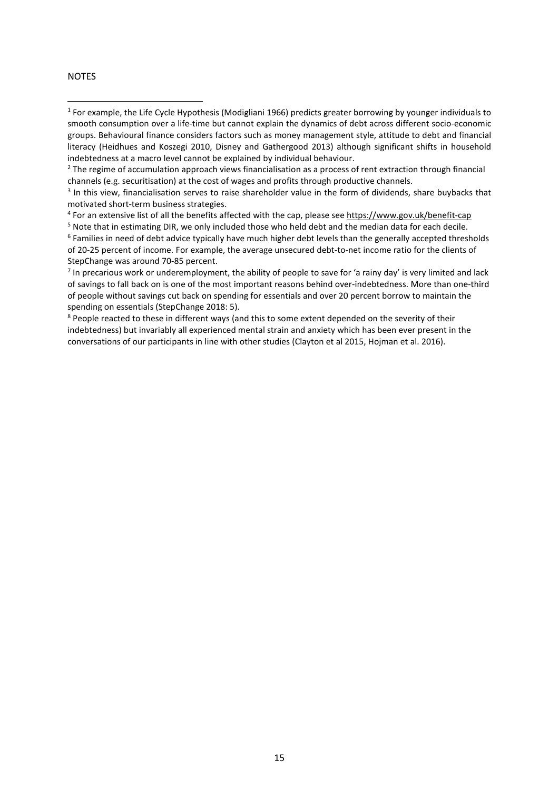#### NOTES

**.** 

<sup>4</sup> For an extensive list of all the benefits affected with the cap, please se[e https://www.gov.uk/benefit-cap](https://www.gov.uk/benefit-cap)

<sup>5</sup> Note that in estimating DIR, we only included those who held debt and the median data for each decile.<br><sup>6</sup> Families in need of debt advice typically have much higher debt levels than the generally accepted thresholds

of 20-25 percent of income. For example, the average unsecured debt-to-net income ratio for the clients of StepChange was around 70-85 percent.

 $<sup>7</sup>$  In precarious work or underemployment, the ability of people to save for 'a rainy day' is very limited and lack</sup> of savings to fall back on is one of the most important reasons behind over-indebtedness. More than one-third of people without savings cut back on spending for essentials and over 20 percent borrow to maintain the spending on essentials (StepChange 2018: 5).

<sup>8</sup> People reacted to these in different ways (and this to some extent depended on the severity of their indebtedness) but invariably all experienced mental strain and anxiety which has been ever present in the conversations of our participants in line with other studies (Clayton et al 2015, Hojman et al. 2016).

 $1$  For example, the Life Cycle Hypothesis (Modigliani 1966) predicts greater borrowing by younger individuals to smooth consumption over a life-time but cannot explain the dynamics of debt across different socio-economic groups. Behavioural finance considers factors such as money management style, attitude to debt and financial literacy (Heidhues and Koszegi 2010, Disney and Gathergood 2013) although significant shifts in household indebtedness at a macro level cannot be explained by individual behaviour.

<sup>&</sup>lt;sup>2</sup> The regime of accumulation approach views financialisation as a process of rent extraction through financial channels (e.g. securitisation) at the cost of wages and profits through productive channels.

<sup>&</sup>lt;sup>3</sup> In this view, financialisation serves to raise shareholder value in the form of dividends, share buybacks that motivated short-term business strategies.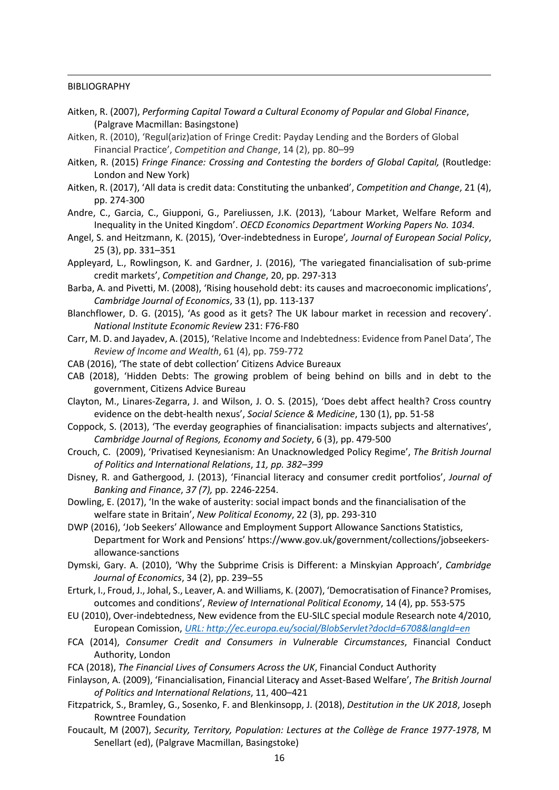#### BIBLIOGRAPHY

 $\overline{\phantom{a}}$ 

- Aitken, R. (2007), *Performing Capital Toward a Cultural Economy of Popular and Global Finance*, (Palgrave Macmillan: Basingstone)
- Aitken, R. (2010), 'Regul(ariz)ation of Fringe Credit: Payday Lending and the Borders of Global Financial Practice', *Competition and Change*, 14 (2), pp. 80–99
- Aitken, R. (2015) *Fringe Finance: Crossing and Contesting the borders of Global Capital,* (Routledge: London and New York)
- Aitken, R. (2017), 'All data is credit data: Constituting the unbanked', *Competition and Change*, 21 (4), pp. 274-300
- Andre, C., Garcia, C., Giupponi, G., Pareliussen, J.K. (2013), 'Labour Market, Welfare Reform and Inequality in the United Kingdom'. *OECD Economics Department Working Papers No. 1034.*
- Angel, S. and Heitzmann, K. (2015), 'Over-indebtedness in Europe'*, Journal of European Social Policy*, 25 (3), pp. 331–351
- Appleyard, L., Rowlingson, K. and Gardner, J. (2016), 'The variegated financialisation of sub-prime credit markets', *Competition and Change*, 20, pp. 297-313
- Barba, A. and Pivetti, M. (2008), 'Rising household debt: its causes and macroeconomic implications', *Cambridge Journal of Economics*, 33 (1), pp. 113-137
- Blanchflower, D. G. (2015), 'As good as it gets? The UK labour market in recession and recovery'. *National Institute Economic Review* 231: F76-F80
- Carr, M. D. and Jayadev, A. (2015), 'Relative Income and Indebtedness: Evidence from Panel Data', The *Review of Income and Wealth*, 61 (4), pp. 759-772
- CAB (2016), 'The state of debt collection' Citizens Advice Bureaux
- CAB (2018), 'Hidden Debts: The growing problem of being behind on bills and in debt to the government, Citizens Advice Bureau
- Clayton, M., Linares-Zegarra, J. and Wilson, J. O. S. (2015), 'Does debt affect health? Cross country evidence on the debt-health nexus', *Social Science & Medicine*, 130 (1), pp. 51-58
- Coppock, S. (2013), 'The everday geographies of financialisation: impacts subjects and alternatives', *Cambridge Journal of Regions, Economy and Society*, 6 (3), pp. 479-500
- Crouch, C. (2009), 'Privatised Keynesianism: An Unacknowledged Policy Regime', *The British Journal of Politics and International Relations*, *11, pp. 382–399*
- Disney, R. and Gathergood, J. (2013), 'Financial literacy and consumer credit portfolios', *Journal of Banking and Finance*, *37 (7),* pp. 2246-2254.
- Dowling, E. (2017), 'In the wake of austerity: social impact bonds and the financialisation of the welfare state in Britain', *New Political Economy*, 22 (3), pp. 293-310
- DWP (2016), 'Job Seekers' Allowance and Employment Support Allowance Sanctions Statistics, Department for Work and Pensions' https://www.gov.uk/government/collections/jobseekersallowance-sanctions
- Dymski, Gary. A. (2010), 'Why the Subprime Crisis is Different: a Minskyian Approach', *Cambridge Journal of Economics*, 34 (2), pp. 239–55
- Erturk, I., Froud, J., Johal, S., Leaver, A. and Williams, K. (2007), 'Democratisation of Finance? Promises, outcomes and conditions', *Review of International Political Economy*, 14 (4), pp. 553-575
- EU (2010), Over-indebtedness, New evidence from the EU-SILC special module Research note 4/2010, European Comission, *[URL: http://ec.europa.eu/social/BlobServlet?docId=6708&langId=en](http://ec.europa.eu/social/BlobServlet?docId=6708&langId=en)*
- FCA (2014), *Consumer Credit and Consumers in Vulnerable Circumstances*, Financial Conduct Authority, London
- FCA (2018), *The Financial Lives of Consumers Across the UK*, Financial Conduct Authority
- Finlayson, A. (2009), 'Financialisation, Financial Literacy and Asset-Based Welfare', *The British Journal of Politics and International Relations*, 11, 400–421
- Fitzpatrick, S., Bramley, G., Sosenko, F. and Blenkinsopp, J. (2018), *Destitution in the UK 2018*, Joseph Rowntree Foundation
- Foucault, M (2007), *Security, Territory, Population: Lectures at the Collège de France 1977-1978*, M Senellart (ed), (Palgrave Macmillan, Basingstoke)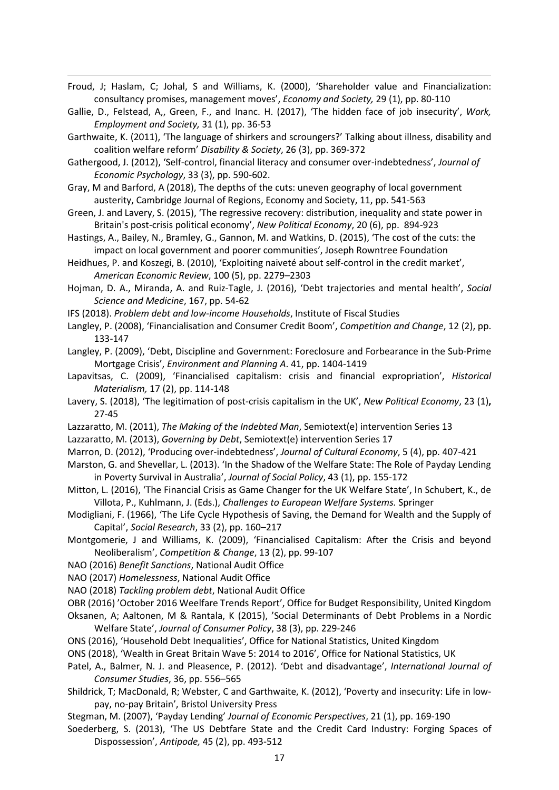Froud, J; Haslam, C; Johal, S and Williams, K. (2000), 'Shareholder value and Financialization: consultancy promises, management moves', *Economy and Society,* 29 (1), pp. 80-110

Gallie, D., Felstead, A,, Green, F., and Inanc. H. (2017), 'The hidden face of job insecurity', *Work, Employment and Society,* 31 (1), pp. 36-53

Garthwaite, K. (2011), 'The language of shirkers and scroungers?' Talking about illness, disability and coalition welfare reform' *Disability & Society*, 26 (3), pp. 369-372

Gathergood, J. (2012), 'Self-control, financial literacy and consumer over-indebtedness', *Journal of Economic Psychology*, 33 (3), pp. 590-602.

Gray, M and Barford, A (2018), The depths of the cuts: uneven geography of local government austerity, Cambridge Journal of Regions, Economy and Society, 11, pp. 541-563

- Green, J. and Lavery, S. (2015), 'The regressive recovery: distribution, inequality and state power in Britain's post-crisis political economy', *New Political Economy*, 20 (6), pp. 894-923
- Hastings, A., Bailey, N., Bramley, G., Gannon, M. and Watkins, D. (2015), 'The cost of the cuts: the impact on local government and poorer communities', Joseph Rowntree Foundation

Heidhues, P. and Koszegi, B. (2010), 'Exploiting naiveté about self-control in the credit market', *American Economic Review*, 100 (5), pp. 2279–2303

- Hojman, D. A., Miranda, A. and Ruiz-Tagle, J. (2016), 'Debt trajectories and mental health', *Social Science and Medicine*, 167, pp. 54-62
- IFS (2018). *Problem debt and low-income Households*, Institute of Fiscal Studies
- Langley, P. (2008), 'Financialisation and Consumer Credit Boom', *Competition and Change*, 12 (2), pp. 133-147
- Langley, P. (2009), 'Debt, Discipline and Government: Foreclosure and Forbearance in the Sub-Prime Mortgage Crisis', *Environment and Planning A*. 41, pp. 1404-1419
- Lapavitsas, C. (2009), 'Financialised capitalism: crisis and financial expropriation', *Historical Materialism,* 17 (2), pp. 114-148
- Lavery, S. (2018), 'The legitimation of post-crisis capitalism in the UK', *New Political Economy*, 23 (1)**,** 27-45
- Lazzaratto, M. (2011), *The Making of the Indebted Man*, Semiotext(e) intervention Series 13

Lazzaratto, M. (2013), *Governing by Debt*, Semiotext(e) intervention Series 17

- Marron, D. (2012), 'Producing over-indebtedness', *Journal of Cultural Economy*, 5 (4), pp. 407-421
- Marston, G. and Shevellar, L. (2013). 'In the Shadow of the Welfare State: The Role of Payday Lending in Poverty Survival in Australia', *Journal of Social Policy*, 43 (1), pp. 155-172
- Mitton, L. (2016), 'The Financial Crisis as Game Changer for the UK Welfare State', In Schubert, K., de Villota, P., Kuhlmann, J. (Eds.), *Challenges to European Welfare Systems.* Springer
- Modigliani, F. (1966), 'The Life Cycle Hypothesis of Saving, the Demand for Wealth and the Supply of Capital', *Social Research*, 33 (2), pp. 160–217
- Montgomerie, J and Williams, K. (2009), 'Financialised Capitalism: After the Crisis and beyond Neoliberalism', *Competition & Change*, 13 (2), pp. 99-107
- NAO (2016) *Benefit Sanctions*, National Audit Office
- NAO (2017) *Homelessness*, National Audit Office

 $\overline{\phantom{a}}$ 

- NAO (2018) *Tackling problem debt*, National Audit Office
- OBR (2016) 'October 2016 Weelfare Trends Report', Office for Budget Responsibility, United Kingdom
- Oksanen, A; Aaltonen, M & Rantala, K (2015), 'Social Determinants of Debt Problems in a Nordic Welfare State', *Journal of Consumer Policy*, 38 (3), pp. 229-246
- ONS (2016), 'Household Debt Inequalities', Office for National Statistics, United Kingdom
- ONS (2018), 'Wealth in Great Britain Wave 5: 2014 to 2016', Office for National Statistics, UK
- Patel, A., Balmer, N. J. and Pleasence, P. (2012). 'Debt and disadvantage', *International Journal of Consumer Studies*, 36, pp. 556–565
- Shildrick, T; MacDonald, R; Webster, C and Garthwaite, K. (2012), 'Poverty and insecurity: Life in lowpay, no-pay Britain', Bristol University Press
- Stegman, M. (2007), 'Payday Lending' *Journal of Economic Perspectives*, 21 (1), pp. 169-190
- Soederberg, S. (2013), 'The US Debtfare State and the Credit Card Industry: Forging Spaces of Dispossession', *Antipode,* 45 (2), pp. 493-512